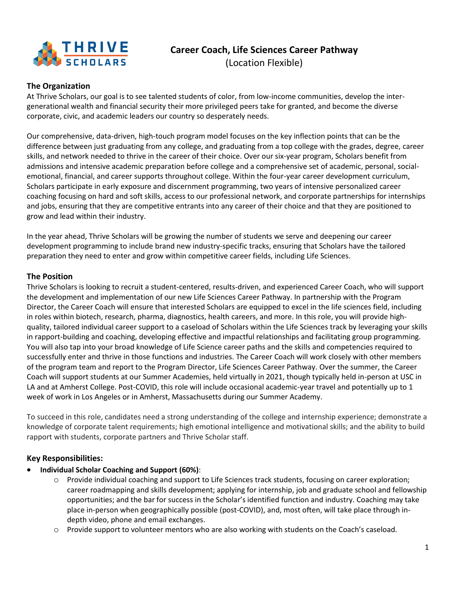

# **Career Coach, Life Sciences Career Pathway** (Location Flexible)

### **The Organization**

At Thrive Scholars, our goal is to see talented students of color, from low-income communities, develop the intergenerational wealth and financial security their more privileged peers take for granted, and become the diverse corporate, civic, and academic leaders our country so desperately needs.

Our comprehensive, data-driven, high-touch program model focuses on the key inflection points that can be the difference between just graduating from any college, and graduating from a top college with the grades, degree, career skills, and network needed to thrive in the career of their choice. Over our six-year program, Scholars benefit from admissions and intensive academic preparation before college and a comprehensive set of academic, personal, socialemotional, financial, and career supports throughout college. Within the four-year career development curriculum, Scholars participate in early exposure and discernment programming, two years of intensive personalized career coaching focusing on hard and soft skills, access to our professional network, and corporate partnerships for internships and jobs, ensuring that they are competitive entrants into any career of their choice and that they are positioned to grow and lead within their industry.

In the year ahead, Thrive Scholars will be growing the number of students we serve and deepening our career development programming to include brand new industry-specific tracks, ensuring that Scholars have the tailored preparation they need to enter and grow within competitive career fields, including Life Sciences.

#### **The Position**

Thrive Scholars is looking to recruit a student-centered, results-driven, and experienced Career Coach, who will support the development and implementation of our new Life Sciences Career Pathway. In partnership with the Program Director, the Career Coach will ensure that interested Scholars are equipped to excel in the life sciences field, including in roles within biotech, research, pharma, diagnostics, health careers, and more. In this role, you will provide highquality, tailored individual career support to a caseload of Scholars within the Life Sciences track by leveraging your skills in rapport-building and coaching, developing effective and impactful relationships and facilitating group programming. You will also tap into your broad knowledge of Life Science career paths and the skills and competencies required to successfully enter and thrive in those functions and industries. The Career Coach will work closely with other members of the program team and report to the Program Director, Life Sciences Career Pathway. Over the summer, the Career Coach will support students at our Summer Academies, held virtually in 2021, though typically held in-person at USC in LA and at Amherst College. Post-COVID, this role will include occasional academic-year travel and potentially up to 1 week of work in Los Angeles or in Amherst, Massachusetts during our Summer Academy.

To succeed in this role, candidates need a strong understanding of the college and internship experience; demonstrate a knowledge of corporate talent requirements; high emotional intelligence and motivational skills; and the ability to build rapport with students, corporate partners and Thrive Scholar staff.

#### **Key Responsibilities:**

- **Individual Scholar Coaching and Support (60%)**:
	- o Provide individual coaching and support to Life Sciences track students, focusing on career exploration; career roadmapping and skills development; applying for internship, job and graduate school and fellowship opportunities; and the bar for success in the Scholar's identified function and industry. Coaching may take place in-person when geographically possible (post-COVID), and, most often, will take place through indepth video, phone and email exchanges.
	- o Provide support to volunteer mentors who are also working with students on the Coach's caseload.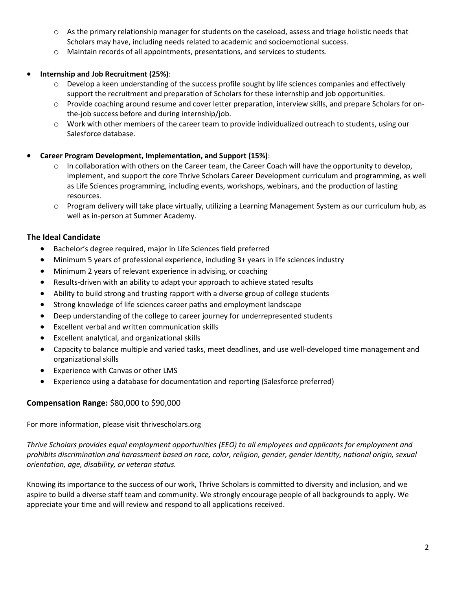- o As the primary relationship manager for students on the caseload, assess and triage holistic needs that Scholars may have, including needs related to academic and socioemotional success.
- o Maintain records of all appointments, presentations, and services to students.

#### • **Internship and Job Recruitment (25%)**:

- $\circ$  Develop a keen understanding of the success profile sought by life sciences companies and effectively support the recruitment and preparation of Scholars for these internship and job opportunities.
- o Provide coaching around resume and cover letter preparation, interview skills, and prepare Scholars for onthe-job success before and during internship/job.
- o Work with other members of the career team to provide individualized outreach to students, using our Salesforce database.
- **Career Program Development, Implementation, and Support (15%)**:
	- o In collaboration with others on the Career team, the Career Coach will have the opportunity to develop, implement, and support the core Thrive Scholars Career Development curriculum and programming, as well as Life Sciences programming, including events, workshops, webinars, and the production of lasting resources.
	- o Program delivery will take place virtually, utilizing a Learning Management System as our curriculum hub, as well as in-person at Summer Academy.

## **The Ideal Candidate**

- Bachelor's degree required, major in Life Sciences field preferred
- Minimum 5 years of professional experience, including 3+ years in life sciences industry
- Minimum 2 years of relevant experience in advising, or coaching
- Results-driven with an ability to adapt your approach to achieve stated results
- Ability to build strong and trusting rapport with a diverse group of college students
- Strong knowledge of life sciences career paths and employment landscape
- Deep understanding of the college to career journey for underrepresented students
- Excellent verbal and written communication skills
- Excellent analytical, and organizational skills
- Capacity to balance multiple and varied tasks, meet deadlines, and use well-developed time management and organizational skills
- Experience with Canvas or other LMS
- Experience using a database for documentation and reporting (Salesforce preferred)

#### **Compensation Range:** \$80,000 to \$90,000

For more information, please visit thrivescholars.org

*Thrive Scholars provides equal employment opportunities (EEO) to all employees and applicants for employment and prohibits discrimination and harassment based on race, color, religion, gender, gender identity, national origin, sexual orientation, age, disability, or veteran status.*

Knowing its importance to the success of our work, Thrive Scholars is committed to diversity and inclusion, and we aspire to build a diverse staff team and community. We strongly encourage people of all backgrounds to apply. We appreciate your time and will review and respond to all applications received.